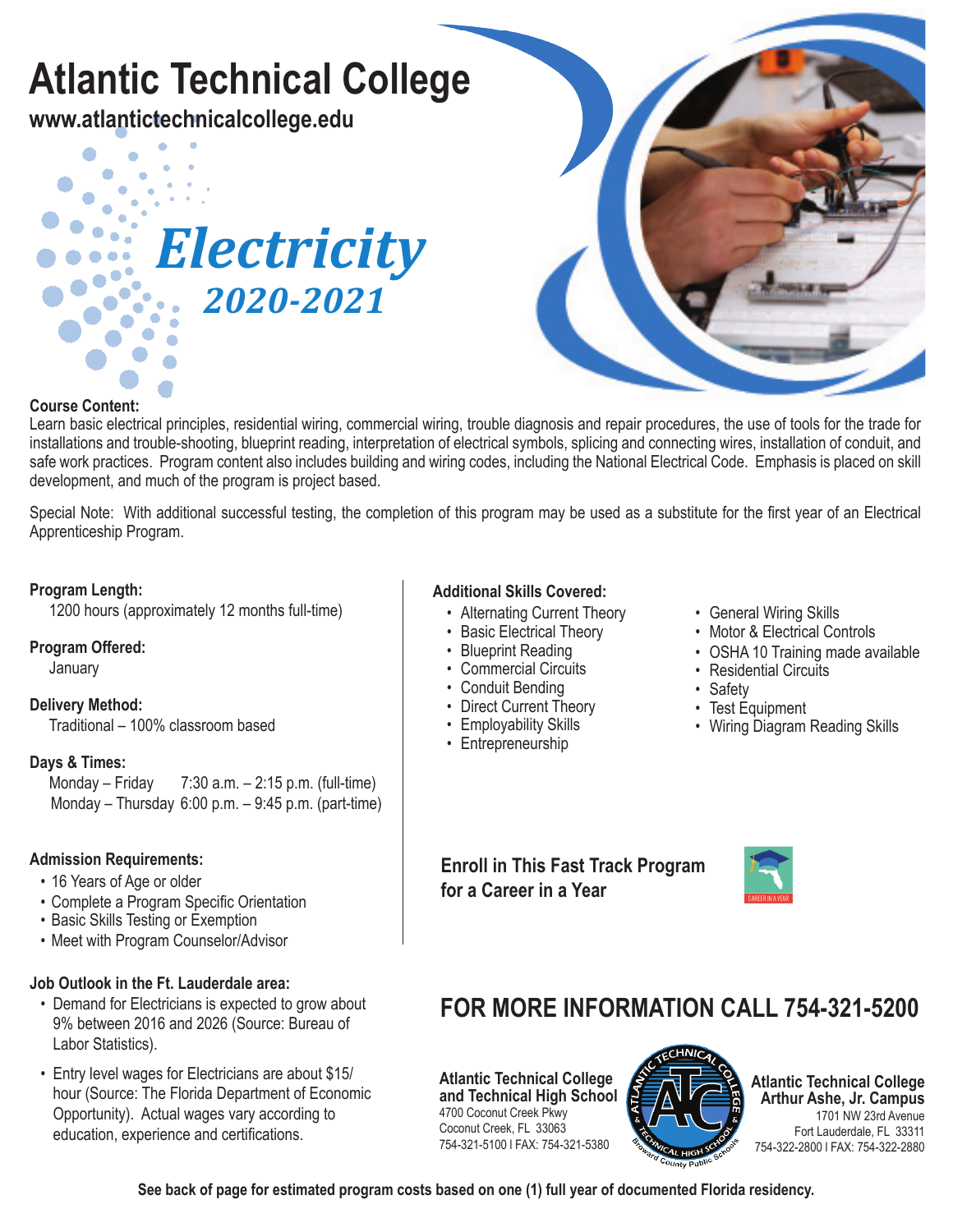# **Atlantic Technical College**

**www.atlantictechnicalcollege.edu**





#### **Course Content:**

Learn basic electrical principles, residential wiring, commercial wiring, trouble diagnosis and repair procedures, the use of tools for the trade for installations and trouble-shooting, blueprint reading, interpretation of electrical symbols, splicing and connecting wires, installation of conduit, and safe work practices. Program content also includes building and wiring codes, including the National Electrical Code. Emphasis is placed on skill development, and much of the program is project based.

Special Note: With additional successful testing, the completion of this program may be used as a substitute for the first year of an Electrical Apprenticeship Program.

#### **Program Length:**

1200 hours (approximately 12 months full-time)

#### **Program Offered:**

January

#### **Delivery Method:**

Traditional – 100% classroom based

# **Days & Times:**

 $7:30$  a.m.  $-2:15$  p.m. (full-time) Monday – Thursday 6:00 p.m. – 9:45 p.m. (part-time)

#### **Admission Requirements:**

- 16 Years of Age or older
- Complete a Program Specific Orientation
- Basic Skills Testing or Exemption
- Meet with Program Counselor/Advisor

#### **Job Outlook in the Ft. Lauderdale area:**

- Demand for Electricians is expected to grow about 9% between 2016 and 2026 (Source: Bureau of Labor Statistics).
- Entry level wages for Electricians are about \$15/ hour (Source: The Florida Department of Economic Opportunity). Actual wages vary according to education, experience and certifications.

#### **Additional Skills Covered:**

- Alternating Current Theory
- Basic Electrical Theory
- Blueprint Reading
- Commercial Circuits
- Conduit Bending
- Direct Current Theory
- Employability Skills
- Entrepreneurship
- General Wiring Skills
- Motor & Electrical Controls
- OSHA 10 Training made available
- Residential Circuits
- Safety
- Test Equipment
- Wiring Diagram Reading Skills

**Enroll in This Fast Track Program for a Career in a Year**



### **FOR MORE INFORMATION CALL 754-321-5200**

**Atlantic Technical College and Technical High School** 4700 Coconut Creek Pkwy Coconut Creek, FL 33063 754-321-5100 l FAX: 754-321-5380



**Atlantic Technical College Arthur Ashe, Jr. Campus** 1701 NW 23rd Avenue Fort Lauderdale, FL 33311 754-322-2800 l FAX: 754-322-2880

**See back of page for estimated program costs based on one (1) full year of documented Florida residency.**